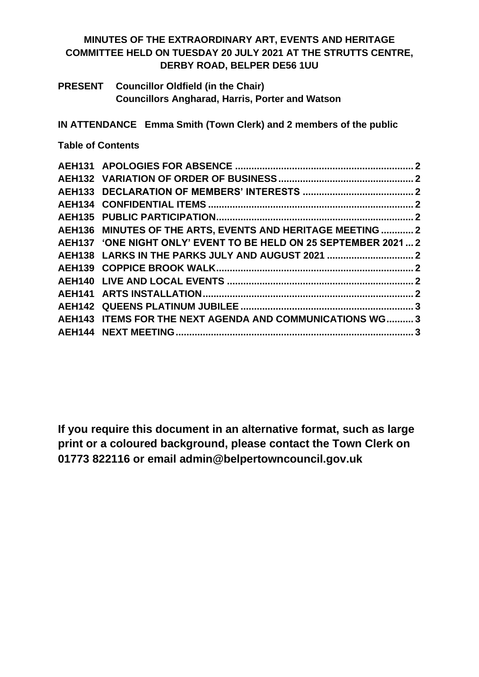# **MINUTES OF THE EXTRAORDINARY ART, EVENTS AND HERITAGE COMMITTEE HELD ON TUESDAY 20 JULY 2021 AT THE STRUTTS CENTRE, DERBY ROAD, BELPER DE56 1UU**

**PRESENT Councillor Oldfield (in the Chair) Councillors Angharad, Harris, Porter and Watson**

**IN ATTENDANCE Emma Smith (Town Clerk) and 2 members of the public**

**Table of Contents**

| AEH136 MINUTES OF THE ARTS, EVENTS AND HERITAGE MEETING  2      |  |
|-----------------------------------------------------------------|--|
| AEH137 'ONE NIGHT ONLY' EVENT TO BE HELD ON 25 SEPTEMBER 2021 2 |  |
|                                                                 |  |
|                                                                 |  |
|                                                                 |  |
|                                                                 |  |
|                                                                 |  |
| AEH143 ITEMS FOR THE NEXT AGENDA AND COMMUNICATIONS WG 3        |  |
|                                                                 |  |
|                                                                 |  |

**If you require this document in an alternative format, such as large print or a coloured background, please contact the Town Clerk on 01773 822116 or email admin@belpertowncouncil.gov.uk**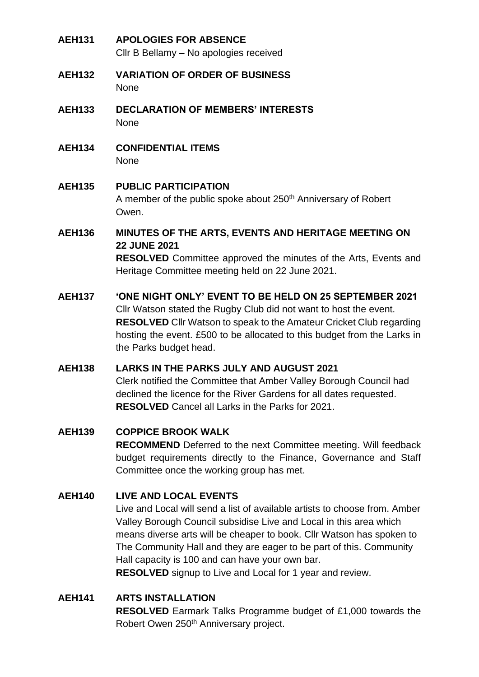- <span id="page-1-0"></span>**AEH131 APOLOGIES FOR ABSENCE** Cllr B Bellamy – No apologies received
- <span id="page-1-1"></span>**AEH132 VARIATION OF ORDER OF BUSINESS** None
- <span id="page-1-2"></span>**AEH133 DECLARATION OF MEMBERS' INTERESTS** None
- <span id="page-1-3"></span>**AEH134 CONFIDENTIAL ITEMS** None
- <span id="page-1-4"></span>**AEH135 PUBLIC PARTICIPATION** A member of the public spoke about 250<sup>th</sup> Anniversary of Robert Owen.
- <span id="page-1-5"></span>**AEH136 MINUTES OF THE ARTS, EVENTS AND HERITAGE MEETING ON 22 JUNE 2021 RESOLVED** Committee approved the minutes of the Arts, Events and Heritage Committee meeting held on 22 June 2021.
- <span id="page-1-6"></span>**AEH137 'ONE NIGHT ONLY' EVENT TO BE HELD ON 25 SEPTEMBER 2021** Cllr Watson stated the Rugby Club did not want to host the event. **RESOLVED** Cllr Watson to speak to the Amateur Cricket Club regarding hosting the event. £500 to be allocated to this budget from the Larks in the Parks budget head.

### <span id="page-1-7"></span>**AEH138 LARKS IN THE PARKS JULY AND AUGUST 2021** Clerk notified the Committee that Amber Valley Borough Council had declined the licence for the River Gardens for all dates requested. **RESOLVED** Cancel all Larks in the Parks for 2021.

## <span id="page-1-8"></span>**AEH139 COPPICE BROOK WALK**

**RECOMMEND** Deferred to the next Committee meeting. Will feedback budget requirements directly to the Finance, Governance and Staff Committee once the working group has met.

## <span id="page-1-9"></span>**AEH140 LIVE AND LOCAL EVENTS**

Live and Local will send a list of available artists to choose from. Amber Valley Borough Council subsidise Live and Local in this area which means diverse arts will be cheaper to book. Cllr Watson has spoken to The Community Hall and they are eager to be part of this. Community Hall capacity is 100 and can have your own bar.

**RESOLVED** signup to Live and Local for 1 year and review.

## <span id="page-1-10"></span>**AEH141 ARTS INSTALLATION**

**RESOLVED** Earmark Talks Programme budget of £1,000 towards the Robert Owen 250<sup>th</sup> Anniversary project.